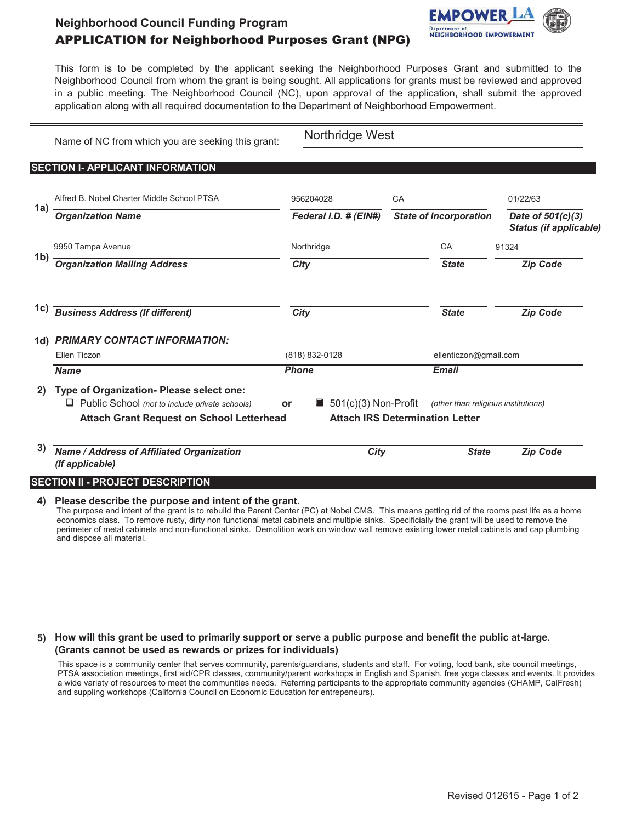## **Neighborhood Council Funding Program** APPLICATION for Neighborhood Purposes Grant (NPG)



This form is to be completed by the applicant seeking the Neighborhood Purposes Grant and submitted to the Neighborhood Council from whom the grant is being sought. All applications for grants must be reviewed and approved in a public meeting. The Neighborhood Council (NC), upon approval of the application, shall submit the approved application along with all required documentation to the Department of Neighborhood Empowerment.

|     | Name of NC from which you are seeking this grant:                                                                                                     | Northridge West       |                                                                               |                               |                                     |                                                    |
|-----|-------------------------------------------------------------------------------------------------------------------------------------------------------|-----------------------|-------------------------------------------------------------------------------|-------------------------------|-------------------------------------|----------------------------------------------------|
|     | <b>SECTION I- APPLICANT INFORMATION</b>                                                                                                               |                       |                                                                               |                               |                                     |                                                    |
|     | Alfred B. Nobel Charter Middle School PTSA                                                                                                            | 956204028             |                                                                               | CA                            |                                     | 01/22/63                                           |
| 1a) | <b>Organization Name</b>                                                                                                                              | Federal I.D. # (EIN#) |                                                                               | <b>State of Incorporation</b> |                                     | Date of 501(c)(3)<br><b>Status (if applicable)</b> |
|     | 9950 Tampa Avenue                                                                                                                                     | Northridge            |                                                                               |                               | CA                                  | 91324                                              |
|     | 1b) <b>Organization Mailing Address</b>                                                                                                               | City                  |                                                                               |                               | <b>State</b>                        | <b>Zip Code</b>                                    |
| 1c) | <b>Business Address (If different)</b>                                                                                                                | <b>City</b>           |                                                                               |                               | <b>State</b>                        | <b>Zip Code</b>                                    |
|     | 1d) PRIMARY CONTACT INFORMATION:                                                                                                                      |                       |                                                                               |                               |                                     |                                                    |
|     | Ellen Ticzon                                                                                                                                          | (818) 832-0128        |                                                                               | ellenticzon@gmail.com         |                                     |                                                    |
|     | <b>Name</b>                                                                                                                                           | <b>Phone</b>          |                                                                               |                               | <b>Email</b>                        |                                                    |
| 2)  | Type of Organization- Please select one:<br>$\Box$ Public School (not to include private schools)<br><b>Attach Grant Request on School Letterhead</b> | or                    | $\blacksquare$ 501(c)(3) Non-Profit<br><b>Attach IRS Determination Letter</b> |                               | (other than religious institutions) |                                                    |
| 3)  | Name / Address of Affiliated Organization<br>(If applicable)                                                                                          |                       | City                                                                          |                               | <b>State</b>                        | <b>Zip Code</b>                                    |
|     | <b>SECTION II - PROJECT DESCRIPTION</b>                                                                                                               |                       |                                                                               |                               |                                     |                                                    |

**4) Please describe the purpose and intent of the grant.**

The purpose and intent of the grant is to rebuild the Parent Center (PC) at Nobel CMS. This means getting rid of the rooms past life as a home economics class. To remove rusty, dirty non functional metal cabinets and multiple sinks. Specificially the grant will be used to remove the perimeter of metal cabinets and non-functional sinks. Demolition work on window wall remove existing lower metal cabinets and cap plumbing and dispose all material.

**5) How will this grant be used to primarily support or serve a public purpose and benefit the public at-large. (Grants cannot be used as rewards or prizes for individuals)**

This space is a community center that serves community, parents/guardians, students and staff. For voting, food bank, site council meetings, PTSA association meetings, first aid/CPR classes, community/parent workshops in English and Spanish, free yoga classes and events. It provides a wide variaty of resources to meet the communities needs. Referring participants to the appropriate community agencies (CHAMP, CalFresh) and suppling workshops (California Council on Economic Education for entrepeneurs).